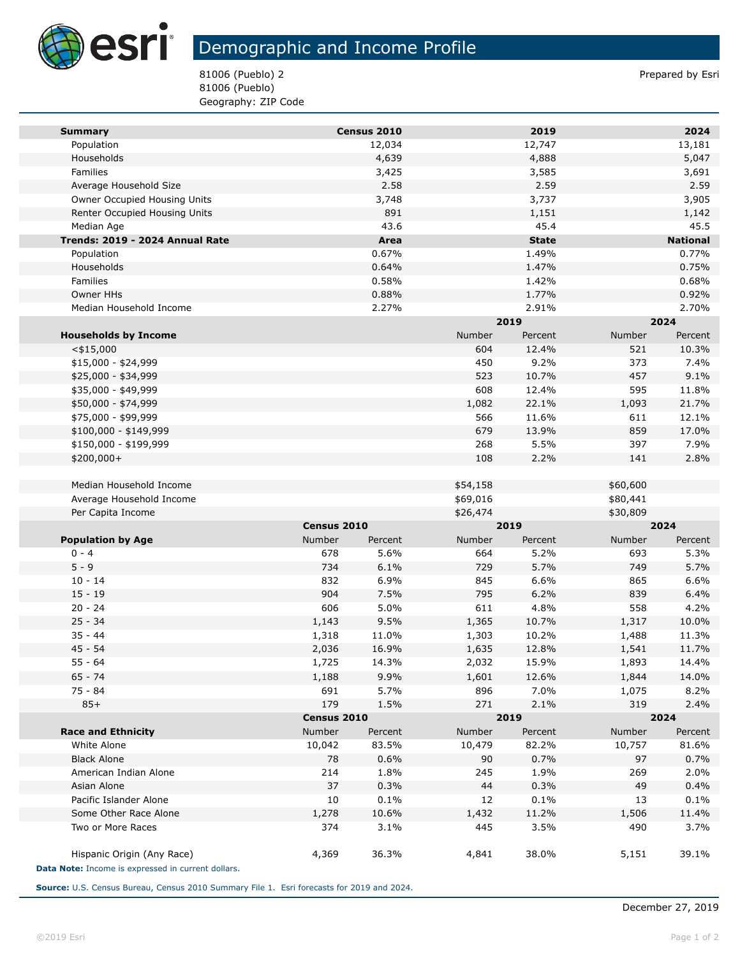

## Demographic and Income Profile

81006 (Pueblo) 2 Prepared by Esri 81006 (Pueblo) Geography: ZIP Code

| <b>Summary</b>                      |               | Census 2010     |               | 2019            |               | 2024            |
|-------------------------------------|---------------|-----------------|---------------|-----------------|---------------|-----------------|
| Population                          |               | 12,034          |               | 12,747          |               | 13,181          |
| Households                          |               | 4,639           |               | 4,888           |               | 5,047           |
| Families                            |               | 3,425           |               | 3,585           |               | 3,691           |
| Average Household Size              |               | 2.58            |               | 2.59            |               | 2.59            |
| Owner Occupied Housing Units        |               | 3,748           |               | 3,737           |               | 3,905           |
| Renter Occupied Housing Units       |               | 891             |               | 1,151           |               | 1,142           |
| Median Age                          |               | 43.6            |               | 45.4            |               | 45.5            |
| Trends: 2019 - 2024 Annual Rate     |               | Area            |               | <b>State</b>    |               | <b>National</b> |
| Population                          |               | 0.67%           |               | 1.49%           |               | 0.77%           |
| Households                          |               | 0.64%           |               | 1.47%           |               | 0.75%           |
| Families                            |               | 0.58%           |               | 1.42%           |               | 0.68%           |
| Owner HHs                           |               | 0.88%           |               | 1.77%           |               | 0.92%           |
| Median Household Income             |               | 2.27%           |               | 2.91%           |               | 2.70%           |
|                                     |               |                 |               | 2019            |               | 2024            |
| <b>Households by Income</b>         |               |                 | Number        | Percent         | Number        | Percent         |
| $<$ \$15,000                        |               |                 | 604           | 12.4%           | 521           | 10.3%           |
| $$15,000 - $24,999$                 |               |                 | 450           | 9.2%            | 373           | 7.4%            |
| \$25,000 - \$34,999                 |               |                 | 523           | 10.7%           | 457           | 9.1%            |
| \$35,000 - \$49,999                 |               |                 | 608           | 12.4%           | 595           | 11.8%           |
| \$50,000 - \$74,999                 |               |                 | 1,082         | 22.1%           | 1,093         | 21.7%           |
| \$75,000 - \$99,999                 |               |                 | 566           | 11.6%           | 611           | 12.1%           |
| \$100,000 - \$149,999               |               |                 | 679           | 13.9%           | 859           | 17.0%           |
| \$150,000 - \$199,999               |               |                 | 268           | 5.5%            | 397           | 7.9%            |
| \$200,000+                          |               |                 | 108           | 2.2%            | 141           | 2.8%            |
|                                     |               |                 |               |                 |               |                 |
| Median Household Income             |               |                 | \$54,158      |                 | \$60,600      |                 |
| Average Household Income            |               |                 | \$69,016      |                 | \$80,441      |                 |
| Per Capita Income                   |               |                 | \$26,474      | 2019            | \$30,809      |                 |
|                                     | Census 2010   |                 |               |                 |               | 2024            |
| <b>Population by Age</b><br>$0 - 4$ | Number<br>678 | Percent<br>5.6% | Number<br>664 | Percent<br>5.2% | Number<br>693 | Percent<br>5.3% |
| $5 - 9$                             | 734           | 6.1%            | 729           | 5.7%            | 749           | 5.7%            |
| $10 - 14$                           | 832           | 6.9%            | 845           | 6.6%            | 865           | 6.6%            |
| $15 - 19$                           | 904           | 7.5%            | 795           | 6.2%            | 839           | 6.4%            |
| $20 - 24$                           | 606           | 5.0%            | 611           | 4.8%            | 558           | 4.2%            |
| $25 - 34$                           | 1,143         | 9.5%            | 1,365         | 10.7%           | 1,317         | 10.0%           |
| $35 - 44$                           | 1,318         | 11.0%           | 1,303         | 10.2%           | 1,488         | 11.3%           |
| $45 - 54$                           | 2,036         | 16.9%           | 1,635         | 12.8%           | 1,541         | 11.7%           |
| $55 - 64$                           | 1,725         | 14.3%           | 2,032         | 15.9%           | 1,893         | 14.4%           |
| $65 - 74$                           | 1,188         | 9.9%            | 1,601         | 12.6%           | 1,844         | 14.0%           |
| 75 - 84                             | 691           | 5.7%            | 896           | 7.0%            | 1,075         | 8.2%            |
| $85+$                               | 179           | 1.5%            | 271           | 2.1%            | 319           | 2.4%            |
|                                     | Census 2010   |                 |               | 2019            |               | 2024            |
| <b>Race and Ethnicity</b>           | Number        | Percent         | Number        | Percent         | Number        | Percent         |
| White Alone                         | 10,042        | 83.5%           | 10,479        | 82.2%           | 10,757        | 81.6%           |
| <b>Black Alone</b>                  | 78            | 0.6%            | 90            | 0.7%            | 97            | 0.7%            |
| American Indian Alone               | 214           | 1.8%            | 245           | 1.9%            | 269           | 2.0%            |
| Asian Alone                         | 37            | 0.3%            | 44            | 0.3%            | 49            | 0.4%            |
| Pacific Islander Alone              | 10            | 0.1%            | 12            | 0.1%            | 13            | 0.1%            |
| Some Other Race Alone               |               |                 |               |                 |               |                 |
|                                     | 1,278         | 10.6%           | 1,432         | 11.2%           | 1,506         | 11.4%           |
| Two or More Races                   | 374           | 3.1%            | 445           | 3.5%            | 490           | 3.7%            |
|                                     |               |                 |               |                 |               |                 |
| Hispanic Origin (Any Race)          | 4,369         | 36.3%           | 4,841         | 38.0%           | 5,151         | 39.1%           |

**Source:** U.S. Census Bureau, Census 2010 Summary File 1. Esri forecasts for 2019 and 2024.